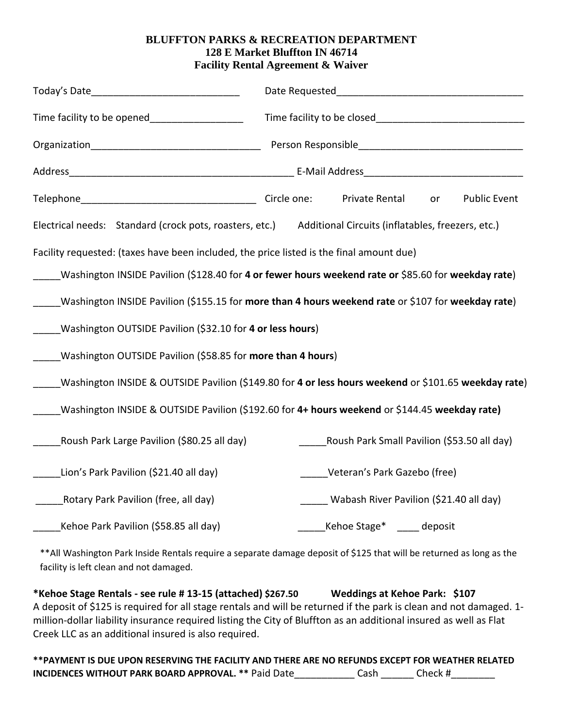## **BLUFFTON PARKS & RECREATION DEPARTMENT 128 E Market Bluffton IN 46714 Facility Rental Agreement & Waiver**

| Time facility to be opened___________________                                                        |  |                                                   |    |                     |
|------------------------------------------------------------------------------------------------------|--|---------------------------------------------------|----|---------------------|
|                                                                                                      |  |                                                   |    |                     |
|                                                                                                      |  |                                                   |    |                     |
|                                                                                                      |  | Private Rental                                    | or | <b>Public Event</b> |
| Electrical needs: Standard (crock pots, roasters, etc.)                                              |  | Additional Circuits (inflatables, freezers, etc.) |    |                     |
| Facility requested: (taxes have been included, the price listed is the final amount due)             |  |                                                   |    |                     |
| Washington INSIDE Pavilion (\$128.40 for 4 or fewer hours weekend rate or \$85.60 for weekday rate)  |  |                                                   |    |                     |
| Washington INSIDE Pavilion (\$155.15 for more than 4 hours weekend rate or \$107 for weekday rate)   |  |                                                   |    |                     |
| Washington OUTSIDE Pavilion (\$32.10 for 4 or less hours)                                            |  |                                                   |    |                     |
| Washington OUTSIDE Pavilion (\$58.85 for more than 4 hours)                                          |  |                                                   |    |                     |
| Washington INSIDE & OUTSIDE Pavilion (\$149.80 for 4 or less hours weekend or \$101.65 weekday rate) |  |                                                   |    |                     |
| Washington INSIDE & OUTSIDE Pavilion (\$192.60 for 4+ hours weekend or \$144.45 weekday rate)        |  |                                                   |    |                     |
| Roush Park Large Pavilion (\$80.25 all day)                                                          |  | Roush Park Small Pavilion (\$53.50 all day)       |    |                     |
| Lion's Park Pavilion (\$21.40 all day)                                                               |  | Veteran's Park Gazebo (free)                      |    |                     |
| Rotary Park Pavilion (free, all day)                                                                 |  | Wabash River Pavilion (\$21.40 all day)           |    |                     |
| Kehoe Park Pavilion (\$58.85 all day)                                                                |  | Kehoe Stage* ___ deposit                          |    |                     |

\*\*All Washington Park Inside Rentals require a separate damage deposit of \$125 that will be returned as long as the facility is left clean and not damaged.

**\*Kehoe Stage Rentals - see rule # 13-15 (attached) \$267.50 Weddings at Kehoe Park: \$107** A deposit of \$125 is required for all stage rentals and will be returned if the park is clean and not damaged. 1 million-dollar liability insurance required listing the City of Bluffton as an additional insured as well as Flat Creek LLC as an additional insured is also required.

**\*\*PAYMENT IS DUE UPON RESERVING THE FACILITY AND THERE ARE NO REFUNDS EXCEPT FOR WEATHER RELATED INCIDENCES WITHOUT PARK BOARD APPROVAL. \*\*** Paid Date\_\_\_\_\_\_\_\_\_\_\_ Cash \_\_\_\_\_\_ Check #\_\_\_\_\_\_\_\_